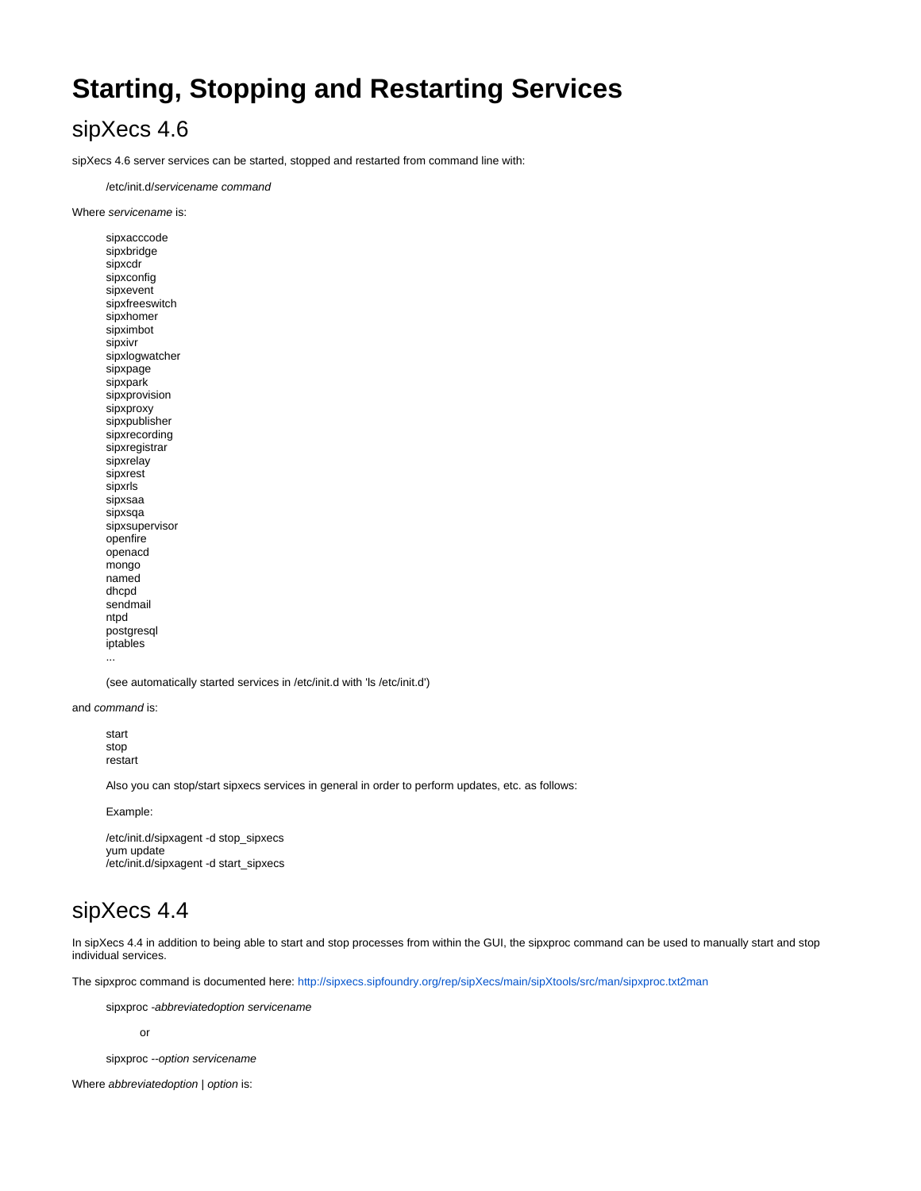## **Starting, Stopping and Restarting Services**

## sipXecs 4.6

sipXecs 4.6 server services can be started, stopped and restarted from command line with:

/etc/init.d/servicename command

Where servicename is:

sipxacccode sipxbridge sipxcdr sipxconfig sipxevent sipxfreeswitch sipxhomer sipximbot sipxivr sipxlogwatcher sipxpage sipxpark sipxprovision sipxproxy sipxpublisher sipxrecording sipxregistrar sipxrelay sipxrest sipxrls sipxsaa sipxsqa sipxsupervisor openfire openacd mongo named dhcpd sendmail ntpd postgresql iptables ...

(see automatically started services in /etc/init.d with 'ls /etc/init.d')

and command is:

start stop restart

Also you can stop/start sipxecs services in general in order to perform updates, etc. as follows:

Example:

```
/etc/init.d/sipxagent -d stop_sipxecs
yum update
/etc/init.d/sipxagent -d start_sipxecs
```
## sipXecs 4.4

In sipXecs 4.4 in addition to being able to start and stop processes from within the GUI, the sipxproc command can be used to manually start and stop individual services.

The sipxproc command is documented here:<http://sipxecs.sipfoundry.org/rep/sipXecs/main/sipXtools/src/man/sipxproc.txt2man>

sipxproc -abbreviatedoption servicename

or

sipxproc --option servicename

Where abbreviatedoption | option is: